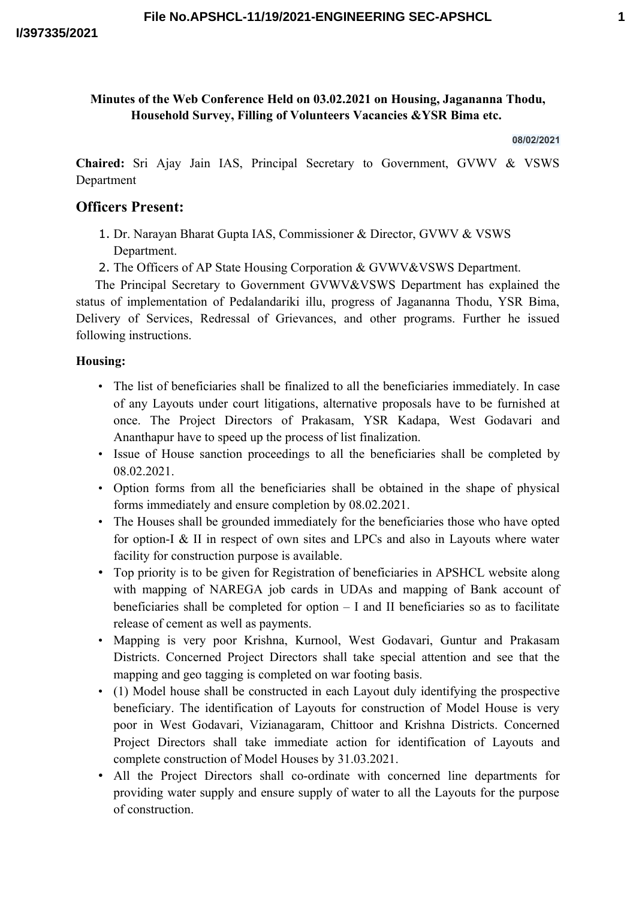## **Minutes of the Web Conference Held on 03.02.2021 on Housing, Jagananna Thodu, Household Survey, Filling of Volunteers Vacancies &YSR Bima etc.**

#### **08/02/2021**

**Chaired:** Sri Ajay Jain IAS, Principal Secretary to Government, GVWV & VSWS Department

# **Officers Present:**

- 1. Dr. Narayan Bharat Gupta IAS, Commissioner & Director, GVWV & VSWS Department.
- 2. The Officers of AP State Housing Corporation & GVWV&VSWS Department.

The Principal Secretary to Government GVWV&VSWS Department has explained the status of implementation of Pedalandariki illu, progress of Jagananna Thodu, YSR Bima, Delivery of Services, Redressal of Grievances, and other programs. Further he issued following instructions.

#### **Housing:**

- The list of beneficiaries shall be finalized to all the beneficiaries immediately. In case of any Layouts under court litigations, alternative proposals have to be furnished at once. The Project Directors of Prakasam, YSR Kadapa, West Godavari and Ananthapur have to speed up the process of list finalization.
- Issue of House sanction proceedings to all the beneficiaries shall be completed by 08.02.2021.
- Option forms from all the beneficiaries shall be obtained in the shape of physical forms immediately and ensure completion by 08.02.2021.
- The Houses shall be grounded immediately for the beneficiaries those who have opted for option-I & II in respect of own sites and LPCs and also in Layouts where water facility for construction purpose is available.
- Top priority is to be given for Registration of beneficiaries in APSHCL website along with mapping of NAREGA job cards in UDAs and mapping of Bank account of beneficiaries shall be completed for option – I and II beneficiaries so as to facilitate release of cement as well as payments.
- Mapping is very poor Krishna, Kurnool, West Godavari, Guntur and Prakasam Districts. Concerned Project Directors shall take special attention and see that the mapping and geo tagging is completed on war footing basis.
- (1) Model house shall be constructed in each Layout duly identifying the prospective beneficiary. The identification of Layouts for construction of Model House is very poor in West Godavari, Vizianagaram, Chittoor and Krishna Districts. Concerned Project Directors shall take immediate action for identification of Layouts and complete construction of Model Houses by 31.03.2021.
- All the Project Directors shall co-ordinate with concerned line departments for providing water supply and ensure supply of water to all the Layouts for the purpose of construction.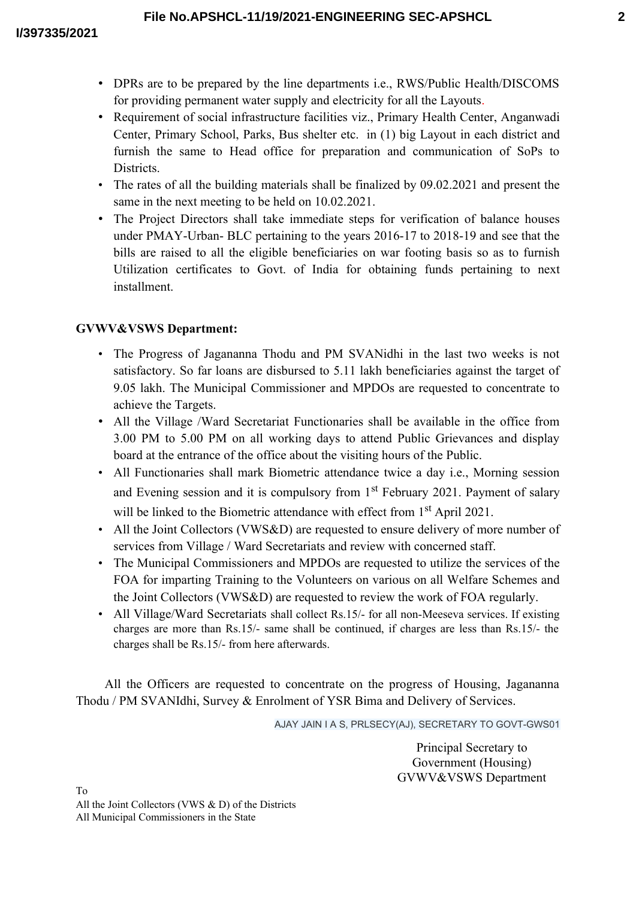- DPRs are to be prepared by the line departments i.e., RWS/Public Health/DISCOMS for providing permanent water supply and electricity for all the Layouts.
- Requirement of social infrastructure facilities viz., Primary Health Center, Anganwadi Center, Primary School, Parks, Bus shelter etc. in (1) big Layout in each district and furnish the same to Head office for preparation and communication of SoPs to Districts.
- The rates of all the building materials shall be finalized by 09.02.2021 and present the same in the next meeting to be held on 10.02.2021.
- The Project Directors shall take immediate steps for verification of balance houses under PMAY-Urban- BLC pertaining to the years 2016-17 to 2018-19 and see that the bills are raised to all the eligible beneficiaries on war footing basis so as to furnish Utilization certificates to Govt. of India for obtaining funds pertaining to next installment.

# **GVWV&VSWS Department:**

- The Progress of Jagananna Thodu and PM SVANidhi in the last two weeks is not satisfactory. So far loans are disbursed to 5.11 lakh beneficiaries against the target of 9.05 lakh. The Municipal Commissioner and MPDOs are requested to concentrate to achieve the Targets.
- All the Village /Ward Secretariat Functionaries shall be available in the office from 3.00 PM to 5.00 PM on all working days to attend Public Grievances and display board at the entrance of the office about the visiting hours of the Public.
- All Functionaries shall mark Biometric attendance twice a day i.e., Morning session and Evening session and it is compulsory from 1<sup>st</sup> February 2021. Payment of salary will be linked to the Biometric attendance with effect from 1<sup>st</sup> April 2021.
- All the Joint Collectors (VWS&D) are requested to ensure delivery of more number of services from Village / Ward Secretariats and review with concerned staff.
- The Municipal Commissioners and MPDOs are requested to utilize the services of the FOA for imparting Training to the Volunteers on various on all Welfare Schemes and the Joint Collectors (VWS&D) are requested to review the work of FOA regularly.
- All Village/Ward Secretariats shall collect Rs.15/- for all non-Meeseva services. If existing charges are more than Rs.15/- same shall be continued, if charges are less than Rs.15/- the charges shall be Rs.15/- from here afterwards.

All the Officers are requested to concentrate on the progress of Housing, Jagananna Thodu / PM SVANIdhi, Survey & Enrolment of YSR Bima and Delivery of Services.

AJAY JAIN I A S, PRLSECY(AJ), SECRETARY TO GOVT-GWS01

Principal Secretary to Government (Housing) GVWV&VSWS Department

To